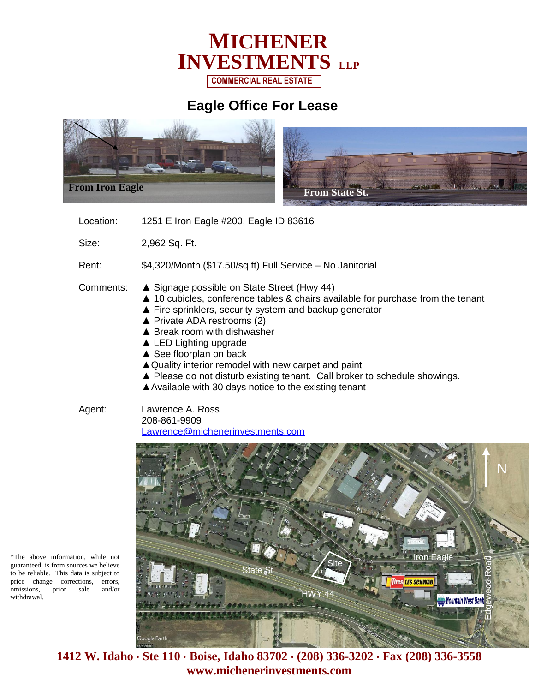

## **Eagle Office For Lease**



Location: 1251 E Iron Eagle #200, Eagle ID 83616

Size: 2,962 Sq. Ft.

Rent: \$4,320/Month (\$17.50/sq ft) Full Service – No Janitorial

- Comments: ▲ Signage possible on State Street (Hwy 44)
	- ▲ 10 cubicles, conference tables & chairs available for purchase from the tenant
	- ▲ Fire sprinklers, security system and backup generator
	- ▲ Private ADA restrooms (2)
	- ▲ Break room with dishwasher
	- ▲ LED Lighting upgrade
	- ▲ See floorplan on back
	- ▲ Quality interior remodel with new carpet and paint
	- ▲ Please do not disturb existing tenant. Call broker to schedule showings.
	- ▲Available with 30 days notice to the existing tenant
- Agent: Lawrence A. Ross 208-861-9909 [Lawrence@michenerinvestments.com](mailto:Lawrence@michenerinvestments.com)

N Iron Eagl Edgewood Road State St **LES SCHWAB** HWY 44 Mountain West Ban oogle Earth<sub>,</sub>

\*The above information, while not guaranteed, is from sources we believe to be reliable. This data is subject to price change corrections, errors, omissions, prior sale and/or withdrawal.

> **1412 W. Idaho Ste 110 Boise, Idaho 83702 (208) 336-3202 Fax (208) 336-3558 www.michenerinvestments.com**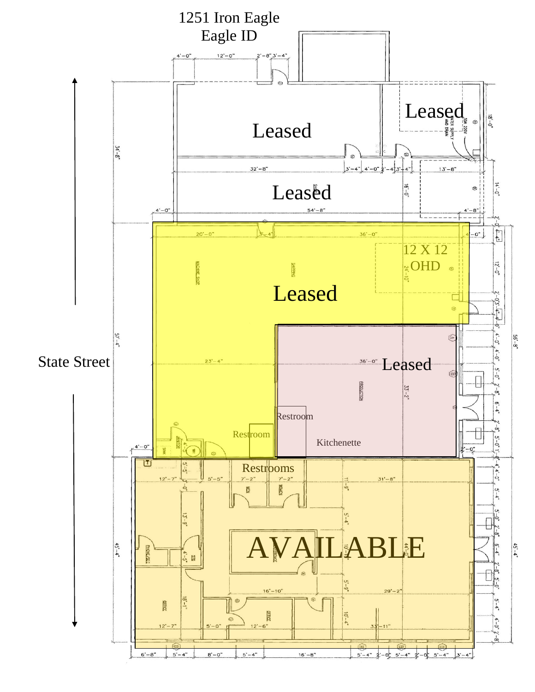